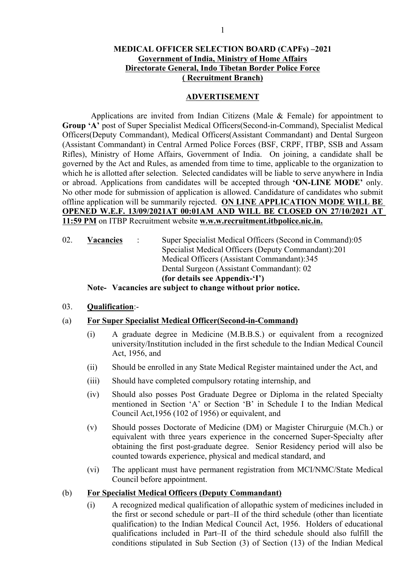# **MEDICAL OFFICER SELECTION BOARD (CAPFs) –2021 Government of India, Ministry of Home Affairs Directorate General, Indo Tibetan Border Police Force ( Recruitment Branch)**

#### **ADVERTISEMENT**

Applications are invited from Indian Citizens (Male & Female) for appointment to **Group 'A'** post of Super Specialist Medical Officers(Second-in-Command), Specialist Medical Officers(Deputy Commandant), Medical Officers(Assistant Commandant) and Dental Surgeon (Assistant Commandant) in Central Armed Police Forces (BSF, CRPF, ITBP, SSB and Assam Rifles), Ministry of Home Affairs, Government of India. On joining, a candidate shall be governed by the Act and Rules, as amended from time to time, applicable to the organization to which he is allotted after selection. Selected candidates will be liable to serve anywhere in India or abroad. Applications from candidates will be accepted through **'ON-LINE MODE'** only. No other mode for submission of application is allowed. Candidature of candidates who submit offline application will be summarily rejected. **ON LINE APPLICATION MODE WILL BE OPENED W.E.F. 13/09/2021AT 00:01AM AND WILL BE CLOSED ON 27/10/2021 AT 11:59 PM** on ITBP Recruitment website **w.w.w.recruitment.itbpolice.nic.in.**

02. **Vacancies** : Super Specialist Medical Officers (Second in Command):05 Specialist Medical Officers (Deputy Commandant):201 Medical Officers (Assistant Commandant):345 Dental Surgeon (Assistant Commandant): 02 **(for details see Appendix-'I') Note- Vacancies are subject to change without prior notice.**

#### 03. **Qualification**:-

### (a) **For Super Specialist Medical Officer(Second-in-Command)**

- (i) A graduate degree in Medicine (M.B.B.S.) or equivalent from a recognized university/Institution included in the first schedule to the Indian Medical Council Act, 1956, and
- (ii) Should be enrolled in any State Medical Register maintained under the Act, and
- (iii) Should have completed compulsory rotating internship, and
- (iv) Should also posses Post Graduate Degree or Diploma in the related Specialty mentioned in Section 'A' or Section 'B' in Schedule I to the Indian Medical Council Act,1956 (102 of 1956) or equivalent, and
- (v) Should posses Doctorate of Medicine (DM) or Magister Chirurguie (M.Ch.) or equivalent with three years experience in the concerned Super-Specialty after obtaining the first post-graduate degree. Senior Residency period will also be counted towards experience, physical and medical standard, and
- (vi) The applicant must have permanent registration from MCI/NMC/State Medical Council before appointment.

### (b) **For Specialist Medical Officers (Deputy Commandant)**

(i) A recognized medical qualification of allopathic system of medicines included in the first or second schedule or part–II of the third schedule (other than licentiate qualification) to the Indian Medical Council Act, 1956. Holders of educational qualifications included in Part–II of the third schedule should also fulfill the conditions stipulated in Sub Section (3) of Section (13) of the Indian Medical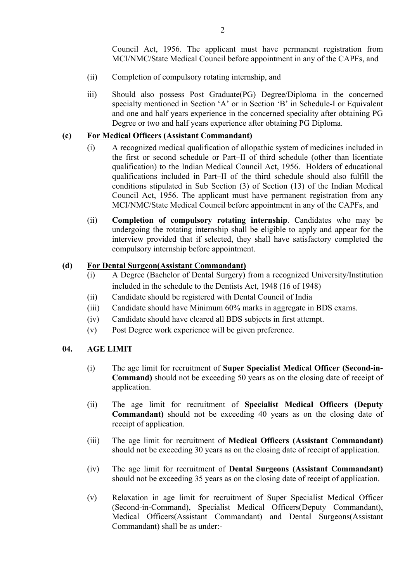Council Act, 1956. The applicant must have permanent registration from MCI/NMC/State Medical Council before appointment in any of the CAPFs, and

- (ii) Completion of compulsory rotating internship, and
- iii) Should also possess Post Graduate(PG) Degree/Diploma in the concerned specialty mentioned in Section 'A' or in Section 'B' in Schedule-I or Equivalent and one and half years experience in the concerned speciality after obtaining PG Degree or two and half years experience after obtaining PG Diploma.

# **(c) For Medical Officers (Assistant Commandant)**

- (i) A recognized medical qualification of allopathic system of medicines included in the first or second schedule or Part–II of third schedule (other than licentiate qualification) to the Indian Medical Council Act, 1956. Holders of educational qualifications included in Part–II of the third schedule should also fulfill the conditions stipulated in Sub Section (3) of Section (13) of the Indian Medical Council Act, 1956. The applicant must have permanent registration from any MCI/NMC/State Medical Council before appointment in any of the CAPFs, and
- (ii) **Completion of compulsory rotating internship**. Candidates who may be undergoing the rotating internship shall be eligible to apply and appear for the interview provided that if selected, they shall have satisfactory completed the compulsory internship before appointment.

# **(d) For Dental Surgeon(Assistant Commandant)**

- (i) A Degree (Bachelor of Dental Surgery) from a recognized University/Institution included in the schedule to the Dentists Act, 1948 (16 of 1948)
- (ii) Candidate should be registered with Dental Council of India
- (iii) Candidate should have Minimum 60% marks in aggregate in BDS exams.
- (iv) Candidate should have cleared all BDS subjects in first attempt.
- (v) Post Degree work experience will be given preference.

### **04. AGE LIMIT**

- (i) The age limit for recruitment of **Super Specialist Medical Officer (Second-in-Command)** should not be exceeding 50 years as on the closing date of receipt of application.
- (ii) The age limit for recruitment of **Specialist Medical Officers (Deputy Commandant)** should not be exceeding 40 years as on the closing date of receipt of application.
- (iii) The age limit for recruitment of **Medical Officers (Assistant Commandant)** should not be exceeding 30 years as on the closing date of receipt of application.
- (iv) The age limit for recruitment of **Dental Surgeons (Assistant Commandant)** should not be exceeding 35 years as on the closing date of receipt of application.
- (v) Relaxation in age limit for recruitment of Super Specialist Medical Officer (Second-in-Command), Specialist Medical Officers(Deputy Commandant), Medical Officers(Assistant Commandant) and Dental Surgeons(Assistant Commandant) shall be as under:-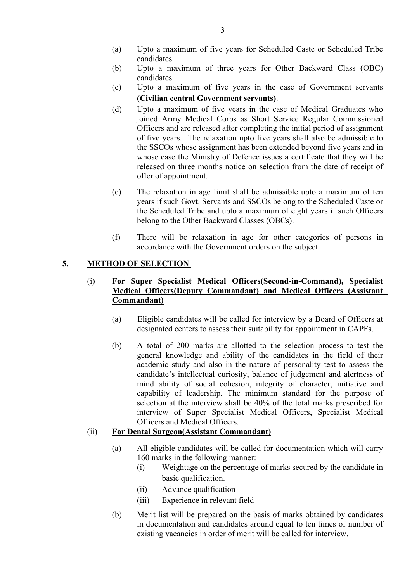- (a) Upto a maximum of five years for Scheduled Caste or Scheduled Tribe candidates.
- (b) Upto a maximum of three years for Other Backward Class (OBC) candidates.
- (c) Upto a maximum of five years in the case of Government servants **(Civilian central Government servants)**.
- (d) Upto a maximum of five years in the case of Medical Graduates who joined Army Medical Corps as Short Service Regular Commissioned Officers and are released after completing the initial period of assignment of five years. The relaxation upto five years shall also be admissible to the SSCOs whose assignment has been extended beyond five years and in whose case the Ministry of Defence issues a certificate that they will be released on three months notice on selection from the date of receipt of offer of appointment.
- (e) The relaxation in age limit shall be admissible upto a maximum of ten years if such Govt. Servants and SSCOs belong to the Scheduled Caste or the Scheduled Tribe and upto a maximum of eight years if such Officers belong to the Other Backward Classes (OBCs).
- (f) There will be relaxation in age for other categories of persons in accordance with the Government orders on the subject.

# **5. METHOD OF SELECTION**

# (i) **For Super Specialist Medical Officers(Second-in-Command), Specialist Medical Officers(Deputy Commandant) and Medical Officers (Assistant Commandant)**

- (a) Eligible candidates will be called for interview by a Board of Officers at designated centers to assess their suitability for appointment in CAPFs.
- (b) A total of 200 marks are allotted to the selection process to test the general knowledge and ability of the candidates in the field of their academic study and also in the nature of personality test to assess the candidate's intellectual curiosity, balance of judgement and alertness of mind ability of social cohesion, integrity of character, initiative and capability of leadership. The minimum standard for the purpose of selection at the interview shall be 40% of the total marks prescribed for interview of Super Specialist Medical Officers, Specialist Medical Officers and Medical Officers.

# (ii) **For Dental Surgeon(Assistant Commandant)**

- (a) All eligible candidates will be called for documentation which will carry 160 marks in the following manner:
	- (i) Weightage on the percentage of marks secured by the candidate in basic qualification.
	- (ii) Advance qualification
	- (iii) Experience in relevant field
- (b) Merit list will be prepared on the basis of marks obtained by candidates in documentation and candidates around equal to ten times of number of existing vacancies in order of merit will be called for interview.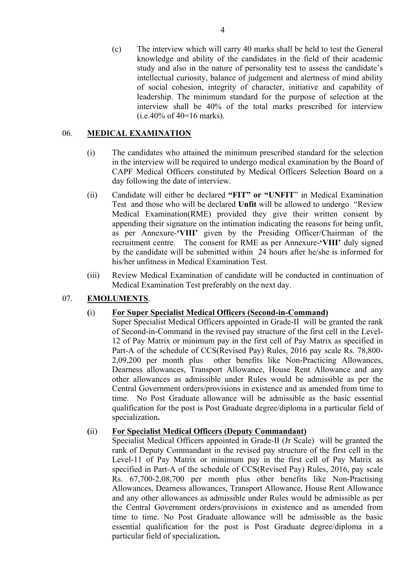(c) The interview which will carry 40 marks shall be held to test the General knowledge and ability of the candidates in the field of their academic study and also in the nature of personality test to assess the candidate's intellectual curiosity, balance of judgement and alertness of mind ability of social cohesion, integrity of character, initiative and capability of leadership. The minimum standard for the purpose of selection at the interview shall be 40% of the total marks prescribed for interview  $(i.e.40\% \text{ of } 40=16 \text{ marks}).$ 

# 06. **MEDICAL EXAMINATION**

- (i) The candidates who attained the minimum prescribed standard for the selection in the interview will be required to undergo medical examination by the Board of CAPF Medical Officers constituted by Medical Officers Selection Board on a day following the date of interview.
- (ii) Candidate will either be declared **"FIT" or "UNFIT**" in Medical Examination Test and those who will be declared **Unfit** will be allowed to undergo "Review Medical Examination(RME) provided they give their written consent by appending their signature on the intimation indicating the reasons for being unfit, as per Annexure-**'VIII'** given by the Presiding Officer/Chairman of the recruitment centre. The consent for RME as per Annexure-**'VIII'** duly signed by the candidate will be submitted within 24 hours after he/she is informed for his/her unfitness in Medical Examination Test.
- (iii) Review Medical Examination of candidate will be conducted in continuation of Medical Examination Test preferably on the next day.

# 07. **EMOLUMENTS**.

### **(**i) **For Super Specialist Medical Officers (Second-in-Command)**

Super Specialist Medical Officers appointed in Grade-II will be granted the rank of Second-in-Command in the revised pay structure of the first cell in the Level-12 of Pay Matrix or minimum pay in the first cell of Pay Matrix as specified in Part-A of the schedule of CCS(Revised Pay) Rules, 2016 pay scale Rs. 78,800- 2,09,200 per month plus other benefits like Non-Practicing Allowances, Dearness allowances, Transport Allowance, House Rent Allowance and any other allowances as admissible under Rules would be admissible as per the Central Government orders/provisions in existence and as amended from time to time. No Post Graduate allowance will be admissible as the basic essential qualification for the post is Post Graduate degree/diploma in a particular field of specialization**.**

### **(**ii) **For Specialist Medical Officers (Deputy Commandant)**

Specialist Medical Officers appointed in Grade-II (Jr Scale) will be granted the rank of Deputy Commandant in the revised pay structure of the first cell in the Level-11 of Pay Matrix or minimum pay in the first cell of Pay Matrix as specified in Part-A of the schedule of CCS(Revised Pay) Rules, 2016, pay scale Rs. 67,700-2,08,700 per month plus other benefits like Non-Practising Allowances, Dearness allowances, Transport Allowance, House Rent Allowance and any other allowances as admissible under Rules would be admissible as per the Central Government orders/provisions in existence and as amended from time to time. No Post Graduate allowance will be admissible as the basic essential qualification for the post is Post Graduate degree/diploma in a particular field of specialization**.**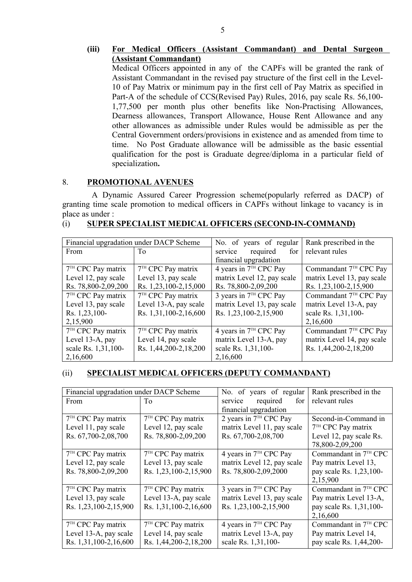# **(iii) For Medical Officers (Assistant Commandant) and Dental Surgeon (Assistant Commandant)**

Medical Officers appointed in any of the CAPFs will be granted the rank of Assistant Commandant in the revised pay structure of the first cell in the Level-10 of Pay Matrix or minimum pay in the first cell of Pay Matrix as specified in Part-A of the schedule of CCS(Revised Pay) Rules, 2016, pay scale Rs. 56,100- 1,77,500 per month plus other benefits like Non-Practising Allowances, Dearness allowances, Transport Allowance, House Rent Allowance and any other allowances as admissible under Rules would be admissible as per the Central Government orders/provisions in existence and as amended from time to time. No Post Graduate allowance will be admissible as the basic essential qualification for the post is Graduate degree/diploma in a particular field of specialization**.**

# 8. **PROMOTIONAL AVENUES**

A Dynamic Assured Career Progression scheme(popularly referred as DACP) of granting time scale promotion to medical officers in CAPFs without linkage to vacancy is in place as under :

### (i) **SUPER SPECIALIST MEDICAL OFFICERS (SECOND-IN-COMMAND)**

|                                | Financial upgradation under DACP Scheme | No. of years of regular            | Rank prescribed in the     |
|--------------------------------|-----------------------------------------|------------------------------------|----------------------------|
| From                           | To                                      | required<br>service<br>for $\vert$ | relevant rules             |
|                                |                                         | financial upgradation              |                            |
| 7 <sup>TH</sup> CPC Pay matrix | 7 <sup>TH</sup> CPC Pay matrix          | 4 years in $7TH$ CPC Pay           | Commandant 7TH CPC Pay     |
| Level 12, pay scale            | Level 13, pay scale                     | matrix Level 12, pay scale         | matrix Level 13, pay scale |
| Rs. 78,800-2,09,200            | Rs. 1,23,100-2,15,000                   | Rs. 78,800-2,09,200                | Rs. 1,23,100-2,15,900      |
| 7TH CPC Pay matrix             | 7 <sup>TH</sup> CPC Pay matrix          | 3 years in $7TH$ CPC Pay           | Commandant 7TH CPC Pay     |
| Level 13, pay scale            | Level 13-A, pay scale                   | matrix Level 13, pay scale         | matrix Level 13-A, pay     |
| Rs. 1,23,100-                  | Rs. 1,31,100-2,16,600                   | Rs. 1,23,100-2,15,900              | scale Rs. 1,31,100-        |
| 2,15,900                       |                                         |                                    | 2,16,600                   |
| 7 <sup>TH</sup> CPC Pay matrix | 7 <sup>TH</sup> CPC Pay matrix          | 4 years in $7TH$ CPC Pay           | Commandant 7TH CPC Pay     |
| Level 13-A, pay                | Level 14, pay scale                     | matrix Level 13-A, pay             | matrix Level 14, pay scale |
| scale Rs. 1,31,100-            | Rs. 1,44,200-2,18,200                   | scale Rs. 1,31,100-                | Rs. 1,44,200-2,18,200      |
| 2,16,600                       |                                         | 2,16,600                           |                            |

# (ii) **SPECIALIST MEDICAL OFFICERS (DEPUTY COMMANDANT)**

| Financial upgradation under DACP Scheme |                       | No. of years of regular            | Rank prescribed in the         |
|-----------------------------------------|-----------------------|------------------------------------|--------------------------------|
| From                                    | To.                   | required<br>for<br>service         | relevant rules                 |
|                                         |                       | financial upgradation              |                                |
| 7TH CPC Pay matrix                      | 7TH CPC Pay matrix    | 2 years in $7TH$ CPC Pay           | Second-in-Command in           |
| Level 11, pay scale                     | Level 12, pay scale   | matrix Level 11, pay scale         | 7 <sup>TH</sup> CPC Pay matrix |
| Rs. 67,700-2,08,700                     | Rs. 78,800-2,09,200   | Rs. 67,700-2,08,700                | Level 12, pay scale Rs.        |
|                                         |                       |                                    | 78,800-2,09,200                |
| $7TH$ CPC Pay matrix                    | 7TH CPC Pay matrix    | 4 years in $7TH$ CPC Pay           | Commandant in 7TH CPC          |
| Level 12, pay scale                     | Level 13, pay scale   | matrix Level 12, pay scale         | Pay matrix Level 13,           |
| Rs. 78,800-2,09,200                     | Rs. 1,23,100-2,15,900 | Rs. 78,800-2,09,2000               | pay scale Rs. 1,23,100-        |
|                                         |                       |                                    | 2,15,900                       |
| $7TH$ CPC Pay matrix                    | $7TH$ CPC Pay matrix  | 3 years in 7 <sup>TH</sup> CPC Pay | Commandant in 7TH CPC          |
| Level 13, pay scale                     | Level 13-A, pay scale | matrix Level 13, pay scale         | Pay matrix Level 13-A,         |
| Rs. 1,23,100-2,15,900                   | Rs. 1,31,100-2,16,600 | Rs. 1,23,100-2,15,900              | pay scale Rs. 1,31,100-        |
|                                         |                       |                                    | 2,16,600                       |
| $7TH$ CPC Pay matrix                    | $7TH$ CPC Pay matrix  | 4 years in 7 <sup>TH</sup> CPC Pay | Commandant in 7TH CPC          |
| Level 13-A, pay scale                   | Level 14, pay scale   | matrix Level 13-A, pay             | Pay matrix Level 14,           |
| Rs. 1,31,100-2,16,600                   | Rs. 1,44,200-2,18,200 | scale Rs. 1,31,100-                | pay scale Rs. 1,44,200-        |
|                                         |                       |                                    |                                |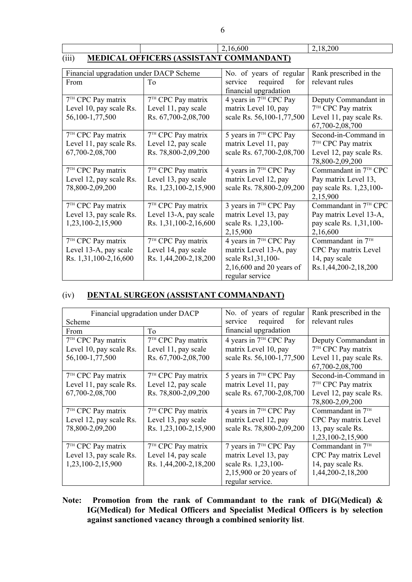|       | .600                                           | 18,200 |  |
|-------|------------------------------------------------|--------|--|
| (iii) | <b>MEDICAL OFFICERS (ASSISTANT COMMANDANT)</b> |        |  |

| Financial upgradation under DACP Scheme |                                | No. of years of regular            | Rank prescribed in the         |
|-----------------------------------------|--------------------------------|------------------------------------|--------------------------------|
| From                                    | To.                            | service<br>required<br>for         | relevant rules                 |
|                                         |                                | financial upgradation              |                                |
| 7TH CPC Pay matrix                      | 7TH CPC Pay matrix             | 4 years in 7 <sup>TH</sup> CPC Pay | Deputy Commandant in           |
| Level 10, pay scale Rs.                 | Level 11, pay scale            | matrix Level 10, pay               | 7 <sup>TH</sup> CPC Pay matrix |
| 56,100-1,77,500                         | Rs. 67,700-2,08,700            | scale Rs. 56,100-1,77,500          | Level 11, pay scale Rs.        |
|                                         |                                |                                    | 67,700-2,08,700                |
| $7TH$ CPC Pay matrix                    | 7TH CPC Pay matrix             | 5 years in 7 <sup>TH</sup> CPC Pay | Second-in-Command in           |
| Level 11, pay scale Rs.                 | Level 12, pay scale            | matrix Level 11, pay               | $7TH$ CPC Pay matrix           |
| 67,700-2,08,700                         | Rs. 78,800-2,09,200            | scale Rs. 67,700-2,08,700          | Level 12, pay scale Rs.        |
|                                         |                                |                                    | 78,800-2,09,200                |
| $7TH$ CPC Pay matrix                    | $7TH$ CPC Pay matrix           | 4 years in 7 <sup>TH</sup> CPC Pay | Commandant in $7TH$ CPC        |
| Level 12, pay scale Rs.                 | Level 13, pay scale            | matrix Level 12, pay               | Pay matrix Level 13,           |
| 78,800-2,09,200                         | Rs. 1,23,100-2,15,900          | scale Rs. 78,800-2,09,200          | pay scale Rs. 1,23,100-        |
|                                         |                                |                                    | 2,15,900                       |
| 7 <sup>TH</sup> CPC Pay matrix          | 7 <sup>TH</sup> CPC Pay matrix | 3 years in 7 <sup>TH</sup> CPC Pay | Commandant in 7TH CPC          |
| Level 13, pay scale Rs.                 | Level 13-A, pay scale          | matrix Level 13, pay               | Pay matrix Level 13-A,         |
| 1,23,100-2,15,900                       | Rs. 1,31,100-2,16,600          | scale Rs. 1,23,100-                | pay scale Rs. 1,31,100-        |
|                                         |                                | 2,15,900                           | 2,16,600                       |
| 7 <sup>TH</sup> CPC Pay matrix          | 7TH CPC Pay matrix             | 4 years in 7 <sup>TH</sup> CPC Pay | Commandant in 7TH              |
| Level 13-A, pay scale                   | Level 14, pay scale            | matrix Level 13-A, pay             | CPC Pay matrix Level           |
| Rs. 1,31,100-2,16,600                   | Rs. 1,44,200-2,18,200          | scale Rs1,31,100-                  | 14, pay scale                  |
|                                         |                                | 2,16,600 and 20 years of           | Rs.1,44,200-2,18,200           |
|                                         |                                | regular service                    |                                |
|                                         |                                |                                    |                                |

# (iv) **DENTAL SURGEON (ASSISTANT COMMANDANT)**

|                                | Financial upgradation under DACP | No. of years of regular            | Rank prescribed in the         |
|--------------------------------|----------------------------------|------------------------------------|--------------------------------|
| Scheme                         |                                  | required<br>service<br>for         | relevant rules                 |
| From                           | T <sub>0</sub>                   | financial upgradation              |                                |
| 7TH CPC Pay matrix             | 7 <sup>TH</sup> CPC Pay matrix   | 4 years in 7 <sup>TH</sup> CPC Pay | Deputy Commandant in           |
| Level 10, pay scale Rs.        | Level 11, pay scale              | matrix Level 10, pay               | 7 <sup>TH</sup> CPC Pay matrix |
| 56,100-1,77,500                | Rs. 67,700-2,08,700              | scale Rs. 56,100-1,77,500          | Level 11, pay scale Rs.        |
|                                |                                  |                                    | 67,700-2,08,700                |
| 7 <sup>TH</sup> CPC Pay matrix | 7TH CPC Pay matrix               | 5 years in 7 <sup>TH</sup> CPC Pay | Second-in-Command in           |
| Level 11, pay scale Rs.        | Level 12, pay scale              | matrix Level 11, pay               | 7TH CPC Pay matrix             |
| 67,700-2,08,700                | Rs. 78,800-2,09,200              | scale Rs. 67,700-2,08,700          | Level 12, pay scale Rs.        |
|                                |                                  |                                    | 78,800-2,09,200                |
| 7 <sup>TH</sup> CPC Pay matrix | 7 <sup>TH</sup> CPC Pay matrix   | 4 years in 7 <sup>TH</sup> CPC Pay | Commandant in $7TH$            |
| Level 12, pay scale Rs.        | Level 13, pay scale              | matrix Level 12, pay               | CPC Pay matrix Level           |
| 78,800-2,09,200                | Rs. 1,23,100-2,15,900            | scale Rs. 78,800-2,09,200          | 13, pay scale Rs.              |
|                                |                                  |                                    | 1,23,100-2,15,900              |
| $7TH$ CPC Pay matrix           | $7TH$ CPC Pay matrix             | 7 years in 7TH CPC Pay             | Commandant in 7TH              |
| Level 13, pay scale Rs.        | Level 14, pay scale              | matrix Level 13, pay               | CPC Pay matrix Level           |
| 1,23,100-2,15,900              | Rs. 1,44,200-2,18,200            | scale Rs. 1,23,100-                | 14, pay scale Rs.              |
|                                |                                  | 2,15,900 or 20 years of            | 1,44,200-2,18,200              |
|                                |                                  | regular service.                   |                                |

# **Note: Promotion from the rank of Commandant to the rank of DIG(Medical) & IG(Medical) for Medical Officers and Specialist Medical Officers is by selection against sanctioned vacancy through a combined seniority list**.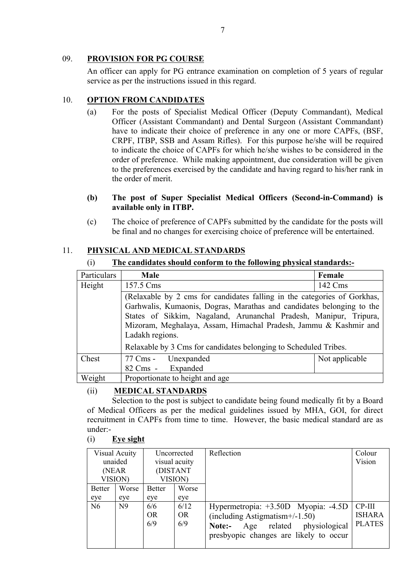# 09. **PROVISION FOR PG COURSE**

An officer can apply for PG entrance examination on completion of 5 years of regular service as per the instructions issued in this regard.

# 10. **OPTION FROM CANDIDATES**

(a) For the posts of Specialist Medical Officer (Deputy Commandant), Medical Officer (Assistant Commandant) and Dental Surgeon (Assistant Commandant) have to indicate their choice of preference in any one or more CAPFs, (BSF, CRPF, ITBP, SSB and Assam Rifles). For this purpose he/she will be required to indicate the choice of CAPFs for which he/she wishes to be considered in the order of preference. While making appointment, due consideration will be given to the preferences exercised by the candidate and having regard to his/her rank in the order of merit.

# **(b) The post of Super Specialist Medical Officers (Second-in-Command) is available only in ITBP.**

(c) The choice of preference of CAPFs submitted by the candidate for the posts will be final and no changes for exercising choice of preference will be entertained.

# 11. **PHYSICAL AND MEDICAL STANDARDS**

# (i) **The candidates should conform to the following physical standards:-**

| Particulars | <b>Male</b>                                                                                                                                                                                                                                                                                                   | Female         |  |  |
|-------------|---------------------------------------------------------------------------------------------------------------------------------------------------------------------------------------------------------------------------------------------------------------------------------------------------------------|----------------|--|--|
| Height      | 157.5 Cms                                                                                                                                                                                                                                                                                                     | 142 Cms        |  |  |
|             | (Relaxable by 2 cms for candidates falling in the categories of Gorkhas,<br>Garhwalis, Kumaonis, Dogras, Marathas and candidates belonging to the<br>States of Sikkim, Nagaland, Arunanchal Pradesh, Manipur, Tripura,<br>Mizoram, Meghalaya, Assam, Himachal Pradesh, Jammu & Kashmir and<br>Ladakh regions. |                |  |  |
|             | Relaxable by 3 Cms for candidates belonging to Scheduled Tribes.                                                                                                                                                                                                                                              |                |  |  |
| Chest       | 77 Cms -<br>Unexpanded                                                                                                                                                                                                                                                                                        | Not applicable |  |  |
|             | Expanded<br>82 Cms -                                                                                                                                                                                                                                                                                          |                |  |  |
| Weight      | Proportionate to height and age                                                                                                                                                                                                                                                                               |                |  |  |

# (ii) **MEDICAL STANDARDS**

Selection to the post is subject to candidate being found medically fit by a Board of Medical Officers as per the medical guidelines issued by MHA, GOI, for direct recruitment in CAPFs from time to time. However, the basic medical standard are as under:-

# (i) **Eye sight**

| (NEAR)         | Visual Acuity<br>unaided |               | Uncorrected<br>visual acuity<br>(DISTANT | Reflection                             | Colour<br>Vision |
|----------------|--------------------------|---------------|------------------------------------------|----------------------------------------|------------------|
| <b>VISION)</b> |                          |               | <b>VISION)</b>                           |                                        |                  |
| <b>Better</b>  | Worse                    | <b>Better</b> | Worse                                    |                                        |                  |
| eye            | eye                      | eye           | eye                                      |                                        |                  |
| N <sub>6</sub> | N <sub>9</sub>           | 6/6           | 6/12                                     | Hypermetropia: +3.50D Myopia: -4.5D    | $CP-III$         |
|                |                          | <b>OR</b>     | OR.                                      | $(including Astigmatism+/1.50)$        | <b>ISHARA</b>    |
|                |                          | 6/9           | 6/9                                      | Age related<br>physiological<br>Note:- | <b>PLATES</b>    |
|                |                          |               |                                          | presbyopic changes are likely to occur |                  |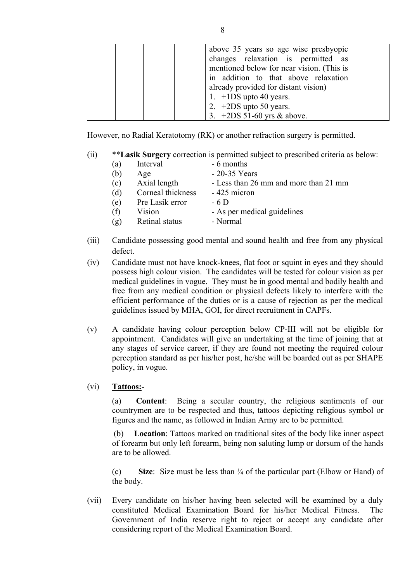|  | above 35 years so age wise presbyopic<br>changes relaxation is permitted as<br>mentioned below for near vision. (This is<br>in addition to that above relaxation |  |
|--|------------------------------------------------------------------------------------------------------------------------------------------------------------------|--|
|  | already provided for distant vision)<br>1. $+1DS$ upto 40 years.<br>2. $+2DS$ upto 50 years.<br>3. $+2DS 51-60$ yrs & above.                                     |  |

However, no Radial Keratotomy (RK) or another refraction surgery is permitted.

| (a) | Interval          | - 6 months                            |
|-----|-------------------|---------------------------------------|
| (b) | Age               | $-20-35$ Years                        |
| (c) | Axial length      | - Less than 26 mm and more than 21 mm |
| (d) | Corneal thickness | - 425 micron                          |
| (e) | Pre Lasik error   | $-6D$                                 |
| (f) | Vision            | - As per medical guidelines           |
| (g) | Retinal status    | - Normal                              |
|     |                   |                                       |

- (iii) Candidate possessing good mental and sound health and free from any physical defect.
- (iv) Candidate must not have knock-knees, flat foot or squint in eyes and they should possess high colour vision. The candidates will be tested for colour vision as per medical guidelines in vogue. They must be in good mental and bodily health and free from any medical condition or physical defects likely to interfere with the efficient performance of the duties or is a cause of rejection as per the medical guidelines issued by MHA, GOI, for direct recruitment in CAPFs.
- (v) A candidate having colour perception below CP-III will not be eligible for appointment. Candidates will give an undertaking at the time of joining that at any stages of service career, if they are found not meeting the required colour perception standard as per his/her post, he/she will be boarded out as per SHAPE policy, in vogue.
- (vi) **Tattoos:**-

(a) **Content**: Being a secular country, the religious sentiments of our countrymen are to be respected and thus, tattoos depicting religious symbol or figures and the name, as followed in Indian Army are to be permitted.

(b) **Location**: Tattoos marked on traditional sites of the body like inner aspect of forearm but only left forearm, being non saluting lump or dorsum of the hands are to be allowed.

(c) **Size**: Size must be less than ¼ of the particular part (Elbow or Hand) of the body.

(vii) Every candidate on his/her having been selected will be examined by a duly constituted Medical Examination Board for his/her Medical Fitness. The Government of India reserve right to reject or accept any candidate after considering report of the Medical Examination Board.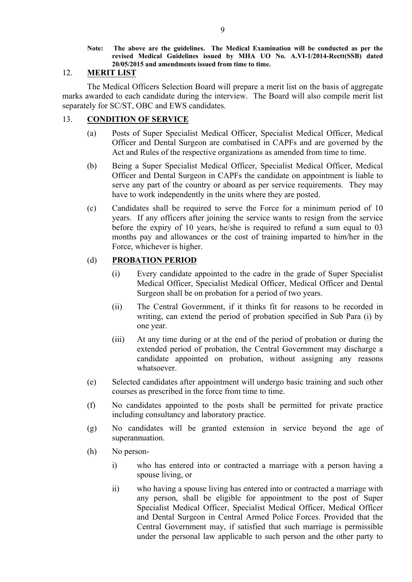#### **Note: The above are the guidelines. The Medical Examination will be conducted as per the revised Medical Guidelines issued by MHA UO No. A.VI-1/2014-Rectt(SSB) dated 20/05/2015 and amendments issued from time to time.**

# 12. **MERIT LIST**

The Medical Officers Selection Board will prepare a merit list on the basis of aggregate marks awarded to each candidate during the interview. The Board will also compile merit list separately for SC/ST, OBC and EWS candidates.

# 13. **CONDITION OF SERVICE**

- (a) Posts of Super Specialist Medical Officer, Specialist Medical Officer, Medical Officer and Dental Surgeon are combatised in CAPFs and are governed by the Act and Rules of the respective organizations as amended from time to time.
- (b) Being a Super Specialist Medical Officer, Specialist Medical Officer, Medical Officer and Dental Surgeon in CAPFs the candidate on appointment is liable to serve any part of the country or aboard as per service requirements. They may have to work independently in the units where they are posted.
- (c) Candidates shall be required to serve the Force for a minimum period of 10 years. If any officers after joining the service wants to resign from the service before the expiry of 10 years, he/she is required to refund a sum equal to 03 months pay and allowances or the cost of training imparted to him/her in the Force, whichever is higher.

# (d) **PROBATION PERIOD**

- (i) Every candidate appointed to the cadre in the grade of Super Specialist Medical Officer, Specialist Medical Officer, Medical Officer and Dental Surgeon shall be on probation for a period of two years.
- (ii) The Central Government, if it thinks fit for reasons to be recorded in writing, can extend the period of probation specified in Sub Para (i) by one year.
- (iii) At any time during or at the end of the period of probation or during the extended period of probation, the Central Government may discharge a candidate appointed on probation, without assigning any reasons whatsoever.
- (e) Selected candidates after appointment will undergo basic training and such other courses as prescribed in the force from time to time.
- (f) No candidates appointed to the posts shall be permitted for private practice including consultancy and laboratory practice.
- (g) No candidates will be granted extension in service beyond the age of superannuation.
- (h) No person
	- i) who has entered into or contracted a marriage with a person having a spouse living, or
	- ii) who having a spouse living has entered into or contracted a marriage with any person, shall be eligible for appointment to the post of Super Specialist Medical Officer, Specialist Medical Officer, Medical Officer and Dental Surgeon in Central Armed Police Forces. Provided that the Central Government may, if satisfied that such marriage is permissible under the personal law applicable to such person and the other party to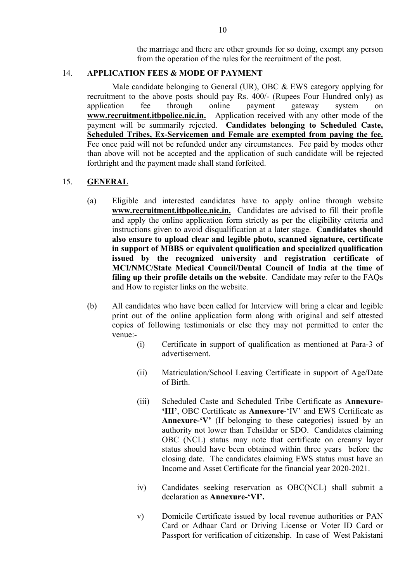the marriage and there are other grounds for so doing, exempt any person from the operation of the rules for the recruitment of the post.

### 14. **APPLICATION FEES & MODE OF PAYMENT**

Male candidate belonging to General (UR), OBC & EWS category applying for recruitment to the above posts should pay Rs. 400/- (Rupees Four Hundred only) as application fee through online payment gateway system on **www.recruitment.itbpolice.nic.in.** Application received with any other mode of the payment will be summarily rejected. **Candidates belonging to Scheduled Caste, Scheduled Tribes, Ex-Servicemen and Female are exempted from paying the fee.** Fee once paid will not be refunded under any circumstances. Fee paid by modes other than above will not be accepted and the application of such candidate will be rejected forthright and the payment made shall stand forfeited.

#### 15. **GENERAL**

- (a) Eligible and interested candidates have to apply online through website **www.recruitment.itbpolice.nic.in.** Candidates are advised to fill their profile and apply the online application form strictly as per the eligibility criteria and instructions given to avoid disqualification at a later stage. **Candidates should also ensure to upload clear and legible photo, scanned signature, certificate in support of MBBS or equivalent qualification and specialized qualification issued by the recognized university and registration certificate of MCI/NMC/State Medical Council/Dental Council of India at the time of filing up their profile details on the website**. Candidate may refer to the FAQs and How to register links on the website.
- (b) All candidates who have been called for Interview will bring a clear and legible print out of the online application form along with original and self attested copies of following testimonials or else they may not permitted to enter the venue:-
	- (i) Certificate in support of qualification as mentioned at Para-3 of advertisement.
	- (ii) Matriculation/School Leaving Certificate in support of Age/Date of Birth.
	- (iii) Scheduled Caste and Scheduled Tribe Certificate as **Annexure- 'III'**, OBC Certificate as **Annexure**-'IV' and EWS Certificate as **Annexure-'V'** (If belonging to these categories) issued by an authority not lower than Tehsildar or SDO. Candidates claiming OBC (NCL) status may note that certificate on creamy layer status should have been obtained within three years before the closing date. The candidates claiming EWS status must have an Income and Asset Certificate for the financial year 2020-2021.
	- iv) Candidates seeking reservation as OBC(NCL) shall submit a declaration as **Annexure-'VI'.**
	- v) Domicile Certificate issued by local revenue authorities or PAN Card or Adhaar Card or Driving License or Voter ID Card or Passport for verification of citizenship. In case of West Pakistani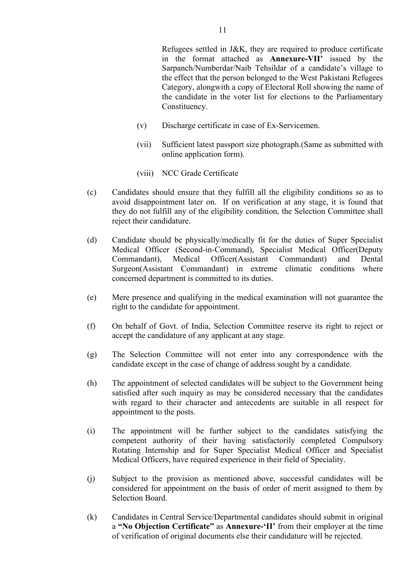Refugees settled in J&K, they are required to produce certificate in the format attached as **Annexure-VII'** issued by the Sarpanch/Numberdar/Naib Tehsildar of a candidate's village to the effect that the person belonged to the West Pakistani Refugees Category, alongwith a copy of Electoral Roll showing the name of the candidate in the voter list for elections to the Parliamentary Constituency.

- (v) Discharge certificate in case of Ex-Servicemen.
- (vii) Sufficient latest passport size photograph.(Same as submitted with online application form).
- (viii) NCC Grade Certificate
- (c) Candidates should ensure that they fulfill all the eligibility conditions so as to avoid disappointment later on. If on verification at any stage, it is found that they do not fulfill any of the eligibility condition, the Selection Committee shall reject their candidature.
- (d) Candidate should be physically/medically fit for the duties of Super Specialist Medical Officer (Second-in-Command), Specialist Medical Officer(Deputy Commandant), Medical Officer(Assistant Commandant) and Dental Surgeon(Assistant Commandant) in extreme climatic conditions where concerned department is committed to its duties.
- (e) Mere presence and qualifying in the medical examination will not guarantee the right to the candidate for appointment.
- (f) On behalf of Govt. of India, Selection Committee reserve its right to reject or accept the candidature of any applicant at any stage.
- (g) The Selection Committee will not enter into any correspondence with the candidate except in the case of change of address sought by a candidate.
- (h) The appointment of selected candidates will be subject to the Government being satisfied after such inquiry as may be considered necessary that the candidates with regard to their character and antecedents are suitable in all respect for appointment to the posts.
- (i) The appointment will be further subject to the candidates satisfying the competent authority of their having satisfactorily completed Compulsory Rotating Internship and for Super Specialist Medical Officer and Specialist Medical Officers, have required experience in their field of Speciality.
- (j) Subject to the provision as mentioned above, successful candidates will be considered for appointment on the basis of order of merit assigned to them by Selection Board.
- (k) Candidates in Central Service/Departmental candidates should submit in original a **"No Objection Certificate"** as **Annexure-'II'** from their employer at the time of verification of original documents else their candidature will be rejected.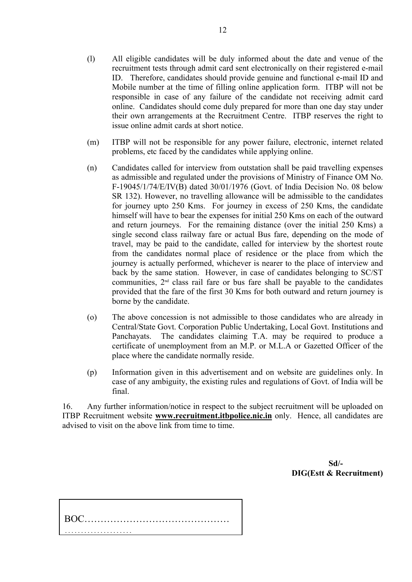- (l) All eligible candidates will be duly informed about the date and venue of the recruitment tests through admit card sent electronically on their registered e-mail ID. Therefore, candidates should provide genuine and functional e-mail ID and Mobile number at the time of filling online application form. ITBP will not be responsible in case of any failure of the candidate not receiving admit card online. Candidates should come duly prepared for more than one day stay under their own arrangements at the Recruitment Centre. ITBP reserves the right to issue online admit cards at short notice.
- (m) ITBP will not be responsible for any power failure, electronic, internet related problems, etc faced by the candidates while applying online.
- (n) Candidates called for interview from outstation shall be paid travelling expenses as admissible and regulated under the provisions of Ministry of Finance OM No. F-19045/1/74/E/IV(B) dated 30/01/1976 (Govt. of India Decision No. 08 below SR 132). However, no travelling allowance will be admissible to the candidates for journey upto 250 Kms. For journey in excess of 250 Kms, the candidate himself will have to bear the expenses for initial 250 Kms on each of the outward and return journeys. For the remaining distance (over the initial 250 Kms) a single second class railway fare or actual Bus fare, depending on the mode of travel, may be paid to the candidate, called for interview by the shortest route from the candidates normal place of residence or the place from which the journey is actually performed, whichever is nearer to the place of interview and back by the same station. However, in case of candidates belonging to SC/ST communities,  $2<sup>nd</sup>$  class rail fare or bus fare shall be payable to the candidates provided that the fare of the first 30 Kms for both outward and return journey is borne by the candidate.
- (o) The above concession is not admissible to those candidates who are already in Central/State Govt. Corporation Public Undertaking, Local Govt. Institutions and Panchayats. The candidates claiming T.A. may be required to produce a certificate of unemployment from an M.P. or M.L.A or Gazetted Officer of the place where the candidate normally reside.
- (p) Information given in this advertisement and on website are guidelines only. In case of any ambiguity, the existing rules and regulations of Govt. of India will be final.

16. Any further information/notice in respect to the subject recruitment will be uploaded on ITBP Recruitment website **www.recruitment.itbpolice.nic.in** only. Hence, all candidates are advised to visit on the above link from time to time.

> **Sd/- DIG(Estt & Recruitment)**

| <b>LI</b> |  |
|-----------|--|
|-----------|--|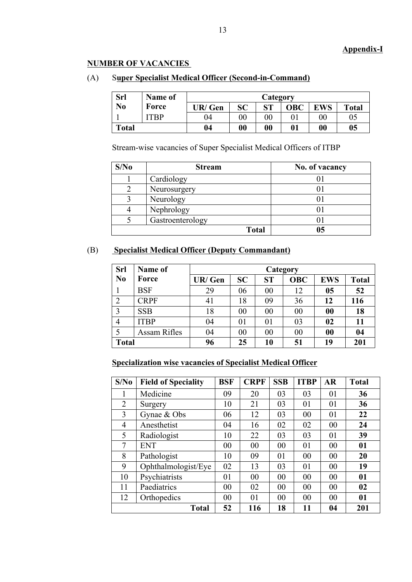# **NUMBER OF VACANCIES**

# (A) S**uper Specialist Medical Officer (Second-in-Command)**

| Srl            | Name of | Category      |           |                      |            |                   |              |
|----------------|---------|---------------|-----------|----------------------|------------|-------------------|--------------|
| N <sub>0</sub> | Force   | <b>UR/Gen</b> | <b>SC</b> | C <sub>T</sub><br>OІ | <b>OBC</b> | <b>EWS</b>        | <b>Total</b> |
|                | 'TBP    | 04            | $00\,$    | $00\,$               |            | $00\,$            | 05           |
| <b>Total</b>   |         | 04            | 00        | 00                   | 01         | $\boldsymbol{00}$ | 05           |

Stream-wise vacancies of Super Specialist Medical Officers of ITBP

| S/No | <b>Stream</b>    | No. of vacancy |
|------|------------------|----------------|
|      | Cardiology       |                |
|      | Neurosurgery     |                |
|      | Neurology        |                |
|      | Nephrology       |                |
|      | Gastroenterology |                |
|      | <b>Total</b>     | 05             |

# (B) **Specialist Medical Officer (Deputy Commandant)**

| <b>Srl</b>     | Name of      | <b>Category</b> |           |           |            |                   |              |  |  |
|----------------|--------------|-----------------|-----------|-----------|------------|-------------------|--------------|--|--|
| N <sub>0</sub> | Force        | UR/ Gen         | <b>SC</b> | <b>ST</b> | <b>OBC</b> | <b>EWS</b>        | <b>Total</b> |  |  |
|                | <b>BSF</b>   | 29              | 06        | 00        | 12         | 05                | 52           |  |  |
| ↑<br>∠         | <b>CRPF</b>  | 41              | 18        | 09        | 36         | 12                | 116          |  |  |
| 3              | <b>SSB</b>   | 18              | $00\,$    | 00        | 00         | $\boldsymbol{00}$ | 18           |  |  |
| 4              | <b>ITBP</b>  | 04              | 01        | 01        | 03         | 02                | 11           |  |  |
|                | Assam Rifles | 04              | $00\,$    | 00        | 00         | $\boldsymbol{00}$ | 04           |  |  |
| <b>Total</b>   |              | 96              | 25        | 10        | 51         | 19                | 201          |  |  |

# **Specialization wise vacancies of Specialist Medical Officer**

| S/No           | <b>Field of Speciality</b> | <b>BSF</b> | <b>CRPF</b> | <b>SSB</b> | <b>ITBP</b> | <b>AR</b> | <b>Total</b> |
|----------------|----------------------------|------------|-------------|------------|-------------|-----------|--------------|
|                | Medicine                   | 09         | 20          | 03         | 03          | 01        | 36           |
| $\overline{2}$ | Surgery                    | 10         | 21          | 03         | 01          | 01        | 36           |
| 3              | Gynae & Obs                | 06         | 12          | 03         | 00          | 01        | 22           |
| $\overline{4}$ | Anesthetist                | 04         | 16          | 02         | 02          | 00        | 24           |
| 5              | Radiologist                | 10         | 22          | 03         | 03          | 01        | 39           |
| 7              | <b>ENT</b>                 | 00         | 00          | 00         | 01          | 00        | 01           |
| 8              | Pathologist                | 10         | 09          | 01         | 00          | 00        | 20           |
| 9              | Ophthalmologist/Eye        | 02         | 13          | 03         | 01          | $00\,$    | 19           |
| 10             | Psychiatrists              | 01         | 00          | $00\,$     | 00          | 00        | 01           |
| 11             | Paediatrics                | 00         | 02          | $00\,$     | 00          | 00        | 02           |
| 12             | Orthopedics                | 00         | 01          | $00\,$     | 00          | 00        | 01           |
|                | <b>Total</b>               | 52         | 116         | 18         | 11          | 04        | 201          |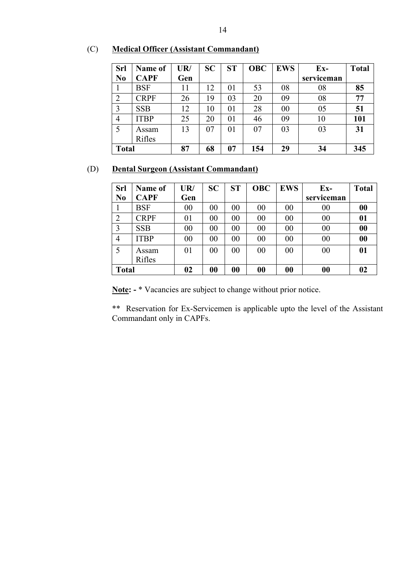| <b>Srl</b>     | Name of     | UR/ | <b>SC</b> | <b>ST</b> | <b>OBC</b> | <b>EWS</b> | Ex-        | <b>Total</b> |
|----------------|-------------|-----|-----------|-----------|------------|------------|------------|--------------|
| N <sub>0</sub> | <b>CAPF</b> | Gen |           |           |            |            | serviceman |              |
|                | BSF         | 11  | 12        | 01        | 53         | 08         | 08         | 85           |
| $\overline{2}$ | <b>CRPF</b> | 26  | 19        | 03        | 20         | 09         | 08         | 77           |
| 3              | <b>SSB</b>  | 12  | 10        | 01        | 28         | $00\,$     | 05         | 51           |
| 4              | <b>ITBP</b> | 25  | 20        | 01        | 46         | 09         | 10         | 101          |
|                | Assam       | 13  | 07        | 01        | 07         | 03         | 03         | 31           |
|                | Rifles      |     |           |           |            |            |            |              |
| <b>Total</b>   |             | 87  | 68        | 07        | 154        | 29         | 34         | 345          |

# (C) **Medical Officer (Assistant Commandant)**

# (D) **Dental Surgeon (Assistant Commandant)**

| <b>Srl</b>     | Name of     | UR/ | <b>SC</b>      | <b>ST</b>         | <b>OBC</b> | <b>EWS</b> | Ex-        | <b>Total</b> |
|----------------|-------------|-----|----------------|-------------------|------------|------------|------------|--------------|
| N <sub>0</sub> | <b>CAPF</b> | Gen |                |                   |            |            | serviceman |              |
|                | <b>BSF</b>  | 00  | 00             | 00                | 00         | 00         | 00         | 00           |
| $\overline{2}$ | <b>CRPF</b> | 01  | 0 <sub>0</sub> | 00                | 00         | 00         | 00         | 01           |
| 3              | <b>SSB</b>  | 00  | 0 <sub>0</sub> | 00                | 00         | 00         | 00         | 00           |
| 4              | <b>ITBP</b> | 00  | 0 <sub>0</sub> | 00                | $00\,$     | $00\,$     | 00         | 00           |
| 5              | Assam       | 01  | 0 <sub>0</sub> | 00                | $00\,$     | 00         | 00         | 01           |
|                | Rifles      |     |                |                   |            |            |            |              |
| <b>Total</b>   |             | 02  | 00             | $\boldsymbol{00}$ | 00         | 00         | 00         | 02           |

**Note: -** \* Vacancies are subject to change without prior notice.

\*\* Reservation for Ex-Servicemen is applicable upto the level of the Assistant Commandant only in CAPFs.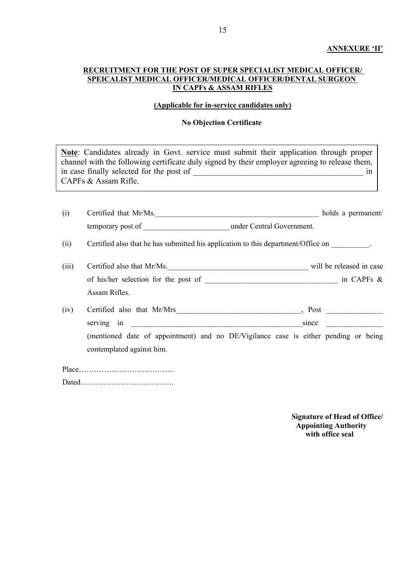#### **ANNEXURE 'II'**

#### **RECRUITMENT FOR THE POST OF SUPER SPECIALIST MEDICAL OFFICER/ SPEICALIST MEDICAL OFFICER/MEDICAL OFFICER/DENTAL SURGEON IN CAPFs & ASSAM RIFLES**

#### **(Applicable for in-service candidates only)**

#### **No Objection Certificate**

| Note: Candidates already in Govt. service must submit their application through proper         |  |
|------------------------------------------------------------------------------------------------|--|
| channel with the following certificate duly signed by their employer agreeing to release them, |  |
| in case finally selected for the post of<br>1n                                                 |  |
| CAPFs & Assam Rifle.                                                                           |  |
|                                                                                                |  |

| (i) | Certified that Mr/Ms. |                           | holds a permanent/ |
|-----|-----------------------|---------------------------|--------------------|
|     | temporary post of     | under Central Government. |                    |

(ii) Certified also that he has submitted his application to this department/Office on

- (iii) Certified also that Mr/Ms. will be released in case of his/her selection for the post of \_\_\_\_\_\_\_\_\_\_\_\_\_\_\_\_\_\_\_\_\_\_\_\_\_\_\_\_\_\_\_\_\_\_\_ in CAPFs & Assam Rifles.
- (iv) Certified also that Mr/Mrs\_\_\_\_\_\_\_\_\_\_\_\_\_\_\_\_\_\_\_\_\_\_\_\_\_\_\_\_\_\_\_\_\_, Post \_\_\_\_\_\_\_\_\_\_\_\_\_\_\_ serving in \_\_\_\_\_\_\_\_\_\_\_\_\_\_\_\_\_\_\_\_\_\_\_\_\_\_\_\_\_\_\_\_\_\_\_\_\_\_\_\_\_\_\_\_\_since \_\_\_\_\_\_\_\_\_\_\_\_\_\_\_ (mentioned date of appointment) and no DE/Vigilance case is either pending or being

contemplated against him.

Place……………………………….. Dated……………………………….

> **Signature of Head of Office/ Appointing Authority with office seal**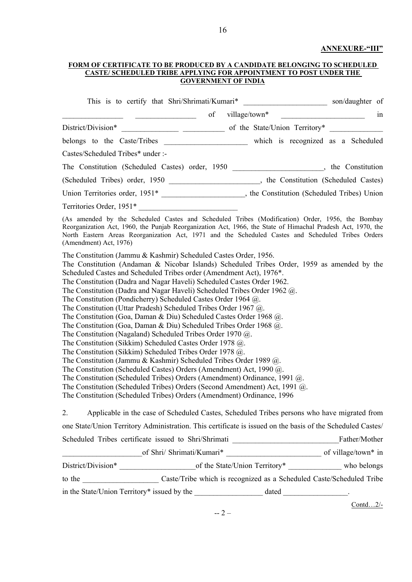#### **ANNEXURE-"III"**

#### FORM OF CERTIFICATE TO BE PRODUCED BY A CANDIDATE BELONGING TO SCHEDULED **CASTE/ SCHEDULED TRIBE APPLYING FOR APPOINTMENT TO POST UNDER THE GOVERNMENT OF INDIA**

| of                                                                                                                                                                                                                                                                                                                                                                                                                                                                                                                                                                                                                                                                                                                                                                                                                                                                                                                                                                                                                                                                                      | in |
|-----------------------------------------------------------------------------------------------------------------------------------------------------------------------------------------------------------------------------------------------------------------------------------------------------------------------------------------------------------------------------------------------------------------------------------------------------------------------------------------------------------------------------------------------------------------------------------------------------------------------------------------------------------------------------------------------------------------------------------------------------------------------------------------------------------------------------------------------------------------------------------------------------------------------------------------------------------------------------------------------------------------------------------------------------------------------------------------|----|
|                                                                                                                                                                                                                                                                                                                                                                                                                                                                                                                                                                                                                                                                                                                                                                                                                                                                                                                                                                                                                                                                                         |    |
| belongs to the Caste/Tribes ______________________ which is recognized as a Scheduled                                                                                                                                                                                                                                                                                                                                                                                                                                                                                                                                                                                                                                                                                                                                                                                                                                                                                                                                                                                                   |    |
| Castes/Scheduled Tribes* under :-                                                                                                                                                                                                                                                                                                                                                                                                                                                                                                                                                                                                                                                                                                                                                                                                                                                                                                                                                                                                                                                       |    |
| The Constitution (Scheduled Castes) order, 1950 _____________________, the Constitution                                                                                                                                                                                                                                                                                                                                                                                                                                                                                                                                                                                                                                                                                                                                                                                                                                                                                                                                                                                                 |    |
| (Scheduled Tribes) order, 1950 ____________________, the Constitution (Scheduled Castes)                                                                                                                                                                                                                                                                                                                                                                                                                                                                                                                                                                                                                                                                                                                                                                                                                                                                                                                                                                                                |    |
| Union Territories order, 1951* ______________________, the Constitution (Scheduled Tribes) Union                                                                                                                                                                                                                                                                                                                                                                                                                                                                                                                                                                                                                                                                                                                                                                                                                                                                                                                                                                                        |    |
| Territories Order, 1951*                                                                                                                                                                                                                                                                                                                                                                                                                                                                                                                                                                                                                                                                                                                                                                                                                                                                                                                                                                                                                                                                |    |
| (As amended by the Scheduled Castes and Scheduled Tribes (Modification) Order, 1956, the Bombay<br>Reorganization Act, 1960, the Punjab Reorganization Act, 1966, the State of Himachal Pradesh Act, 1970, the<br>North Eastern Areas Reorganization Act, 1971 and the Scheduled Castes and Scheduled Tribes Orders<br>(Amendment) Act, 1976)                                                                                                                                                                                                                                                                                                                                                                                                                                                                                                                                                                                                                                                                                                                                           |    |
| Scheduled Castes and Scheduled Tribes order (Amendment Act), 1976*.<br>The Constitution (Dadra and Nagar Haveli) Scheduled Castes Order 1962.<br>The Constitution (Dadra and Nagar Haveli) Scheduled Tribes Order 1962 @.<br>The Constitution (Pondicherry) Scheduled Castes Order 1964 @.<br>The Constitution (Uttar Pradesh) Scheduled Tribes Order 1967 (a).<br>The Constitution (Goa, Daman & Diu) Scheduled Castes Order 1968 $@$ .<br>The Constitution (Goa, Daman & Diu) Scheduled Tribes Order 1968 $@.$<br>The Constitution (Nagaland) Scheduled Tribes Order 1970 @.<br>The Constitution (Sikkim) Scheduled Castes Order 1978 @.<br>The Constitution (Sikkim) Scheduled Tribes Order 1978 @.<br>The Constitution (Jammu & Kashmir) Scheduled Tribes Order 1989 @.<br>The Constitution (Scheduled Castes) Orders (Amendment) Act, 1990 @.<br>The Constitution (Scheduled Tribes) Orders (Amendment) Ordinance, 1991 @.<br>The Constitution (Scheduled Tribes) Orders (Second Amendment) Act, 1991 @.<br>The Constitution (Scheduled Tribes) Orders (Amendment) Ordinance, 1996 |    |
| 2.<br>Applicable in the case of Scheduled Castes, Scheduled Tribes persons who have migrated from                                                                                                                                                                                                                                                                                                                                                                                                                                                                                                                                                                                                                                                                                                                                                                                                                                                                                                                                                                                       |    |
| one State/Union Territory Administration. This certificate is issued on the basis of the Scheduled Castes/                                                                                                                                                                                                                                                                                                                                                                                                                                                                                                                                                                                                                                                                                                                                                                                                                                                                                                                                                                              |    |
|                                                                                                                                                                                                                                                                                                                                                                                                                                                                                                                                                                                                                                                                                                                                                                                                                                                                                                                                                                                                                                                                                         |    |
|                                                                                                                                                                                                                                                                                                                                                                                                                                                                                                                                                                                                                                                                                                                                                                                                                                                                                                                                                                                                                                                                                         |    |
|                                                                                                                                                                                                                                                                                                                                                                                                                                                                                                                                                                                                                                                                                                                                                                                                                                                                                                                                                                                                                                                                                         |    |
|                                                                                                                                                                                                                                                                                                                                                                                                                                                                                                                                                                                                                                                                                                                                                                                                                                                                                                                                                                                                                                                                                         |    |
|                                                                                                                                                                                                                                                                                                                                                                                                                                                                                                                                                                                                                                                                                                                                                                                                                                                                                                                                                                                                                                                                                         |    |

-- 2 –

Contd…2/-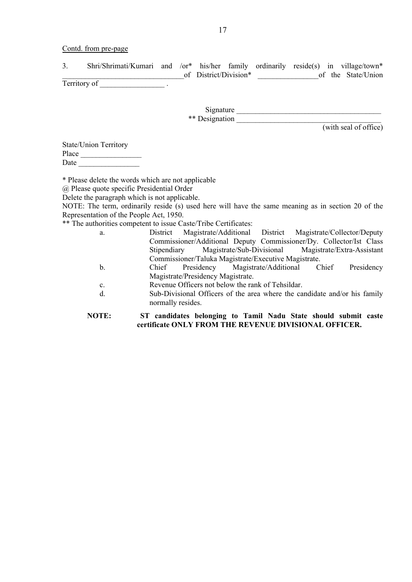Contd. from pre-page

3. Shri/Shrimati/Kumari and /or\* his/her family ordinarily reside(s) in village/town\* of District/Division\* of the State/Union Territory of the contract of the contract of the contract of the contract of the contract of the contract of the contract of the contract of the contract of the contract of the contract of the contract of the contract of t

> Signature \_\_\_\_\_\_\_\_\_\_\_\_\_\_\_\_\_\_\_\_\_\_\_\_\_\_\_\_\_\_\_\_\_\_\_\_\_\_  $**$  Designation

(with seal of office)

State/Union Territory Place  $\Box$ Date  $\Box$ 

\* Please delete the words which are not applicable

@ Please quote specific Presidential Order

Delete the paragraph which is not applicable.

NOTE: The term, ordinarily reside (s) used here will have the same meaning as in section 20 of the Representation of the People Act, 1950.

\*\* The authorities competent to issue Caste/Tribe Certificates:

- a. District Magistrate/Additional District Magistrate/Collector/Deputy Commissioner/Additional Deputy Commissioner/Dy. Collector/Ist Class Stipendiary Magistrate/Sub-Divisional Magistrate/Extra-Assistant Commissioner/Taluka Magistrate/Executive Magistrate. b. Chief Presidency Magistrate/Additional Chief Presidency
	- Magistrate/Presidency Magistrate.
	- c. Revenue Officers not below the rank of Tehsildar.
	- d. Sub-Divisional Officers of the area where the candidate and/or his family normally resides.
- **NOTE: ST candidates belonging to Tamil Nadu State should submit caste certificate ONLY FROM THE REVENUE DIVISIONAL OFFICER.**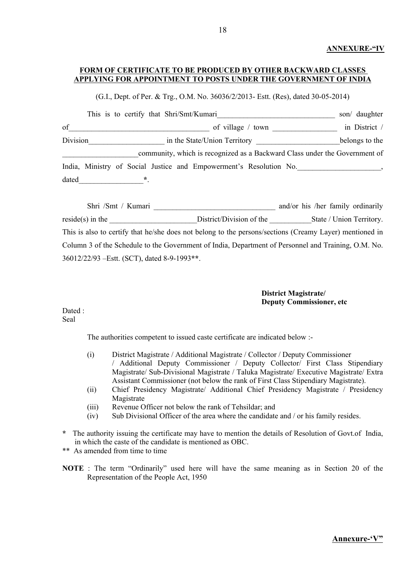#### **FORM OF CERTIFICATE TO BE PRODUCED BY OTHER BACKWARD CLASSES APPLYING FOR APPOINTMENT TO POSTS UNDER THE GOVERNMENT OF INDIA**

(G.I., Dept. of Per. & Trg., O.M. No. 36036/2/2013- Estt. (Res), dated 30-05-2014)

|          | This is to certify that Shri/Smt/Kumari                                    | son/ daughter  |
|----------|----------------------------------------------------------------------------|----------------|
| of       | of village $\ell$ town                                                     | in District /  |
| Division | in the State/Union Territory                                               | belongs to the |
|          | community, which is recognized as a Backward Class under the Government of |                |
|          | India, Ministry of Social Justice and Empowerment's Resolution No.         |                |
| dated    | ÷                                                                          |                |

Shri /Smt / Kumari \_\_\_\_\_\_\_\_\_\_\_\_\_\_\_\_\_\_\_\_\_\_\_\_\_\_\_\_\_\_\_\_ and/or his /her family ordinarily reside(s) in the District/Division of the State / Union Territory. This is also to certify that he/she does not belong to the persons/sections (Creamy Layer) mentioned in Column 3 of the Schedule to the Government of India, Department of Personnel and Training, O.M. No. 36012/22/93 –Estt. (SCT), dated 8-9-1993**\*\***.

#### **District Magistrate/ Deputy Commissioner, etc**

Dated : Seal

The authorities competent to issued caste certificate are indicated below :-

- (i) District Magistrate / Additional Magistrate / Collector / Deputy Commissioner / Additional Deputy Commissioner / Deputy Collector/ First Class Stipendiary Magistrate/ Sub-Divisional Magistrate / Taluka Magistrate/ Executive Magistrate/ Extra Assistant Commissioner (not below the rank of First Class Stipendiary Magistrate).
- (ii) Chief Presidency Magistrate/ Additional Chief Presidency Magistrate / Presidency Magistrate
- (iii) Revenue Officer not below the rank of Tehsildar; and
- (iv) Sub Divisional Officer of the area where the candidate and / or his family resides.
- **\*** The authority issuing the certificate may have to mention the details of Resolution of Govt.of India, in which the caste of the candidate is mentioned as OBC.
- \*\* As amended from time to time

**NOTE** : The term "Ordinarily" used here will have the same meaning as in Section 20 of the Representation of the People Act, 1950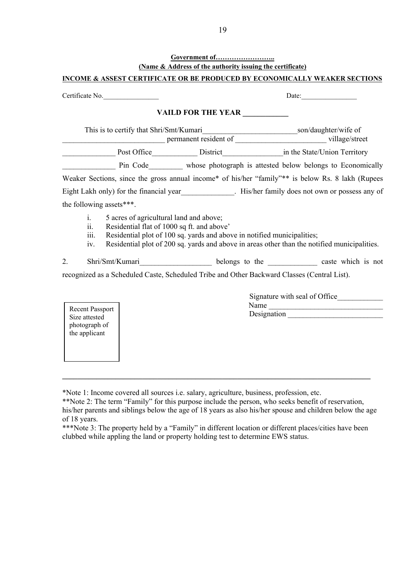#### **Government of…………………….. (Name & Address of the authority issuing the certificate)**

#### **INCOME & ASSEST CERTIFICATE OR BE PRODUCED BY ECONOMICALLY WEAKER SECTIONS**

| Certificate No.                                                    |                                                                                                                                                                  | Date:                                                                                                                                                                                                                                          |  |  |  |  |  |
|--------------------------------------------------------------------|------------------------------------------------------------------------------------------------------------------------------------------------------------------|------------------------------------------------------------------------------------------------------------------------------------------------------------------------------------------------------------------------------------------------|--|--|--|--|--|
|                                                                    | VAILD FOR THE YEAR                                                                                                                                               |                                                                                                                                                                                                                                                |  |  |  |  |  |
|                                                                    |                                                                                                                                                                  | This is to certify that Shri/Smt/Kumari<br>permanent resident of<br>permanent resident of<br>permanent resident of<br>permanent resident of<br>permanent resident of<br>permanent resident of<br>permanent resident of<br>permanent resident o |  |  |  |  |  |
|                                                                    |                                                                                                                                                                  |                                                                                                                                                                                                                                                |  |  |  |  |  |
|                                                                    |                                                                                                                                                                  | Pin Code Whose photograph is attested below belongs to Economically                                                                                                                                                                            |  |  |  |  |  |
|                                                                    |                                                                                                                                                                  | Weaker Sections, since the gross annual income* of his/her "family"** is below Rs. 8 lakh (Rupees                                                                                                                                              |  |  |  |  |  |
|                                                                    |                                                                                                                                                                  | Eight Lakh only) for the financial year<br><u>Eight Lakh only</u> ) for the financial year<br><u>Eight Lakh only</u> ) for the financial year<br><u>Eight Lakh only</u>                                                                        |  |  |  |  |  |
| the following assets***.                                           |                                                                                                                                                                  |                                                                                                                                                                                                                                                |  |  |  |  |  |
| i.<br>11.<br>iii.<br>iv.                                           | 5 acres of agricultural land and above;<br>Residential flat of 1000 sq ft. and above'<br>Residential plot of 100 sq. yards and above in notified municipalities; | Residential plot of 200 sq. yards and above in areas other than the notified municipalities.                                                                                                                                                   |  |  |  |  |  |
| 2.                                                                 |                                                                                                                                                                  |                                                                                                                                                                                                                                                |  |  |  |  |  |
|                                                                    |                                                                                                                                                                  | recognized as a Scheduled Caste, Scheduled Tribe and Other Backward Classes (Central List).                                                                                                                                                    |  |  |  |  |  |
| Recent Passport<br>Size attested<br>photograph of<br>the applicant |                                                                                                                                                                  | Signature with seal of Office<br>Name<br>Designation                                                                                                                                                                                           |  |  |  |  |  |

\*Note 1: Income covered all sources i.e. salary, agriculture, business, profession, etc.

\*\*Note 2: The term "Family" for this purpose include the person, who seeks benefit of reservation, his/her parents and siblings below the age of 18 years as also his/her spouse and children below the age of 18 years.

**\_\_\_\_\_\_\_\_\_\_\_\_\_\_\_\_\_\_\_\_\_\_\_\_\_\_\_\_\_\_\_\_\_\_\_\_\_\_\_\_\_\_\_\_\_\_\_\_\_\_\_\_\_\_\_\_\_\_\_\_\_\_\_\_\_\_\_\_\_\_\_\_\_\_\_\_\_\_\_\_\_**

\*\*\*Note 3: The property held by a "Family" in different location or different places/cities have been clubbed while appling the land or property holding test to determine EWS status.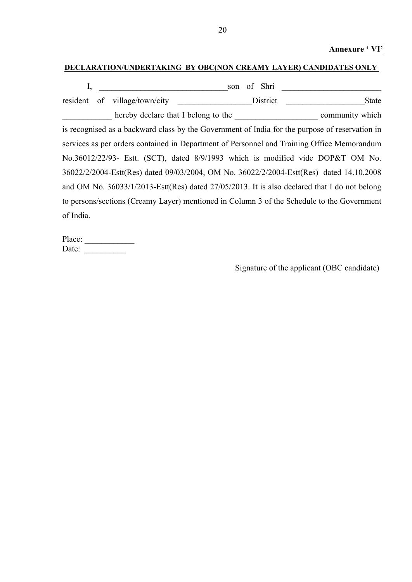## **Annexure ' VI'**

# **DECLARATION/UNDERTAKING BY OBC(NON CREAMY LAYER) CANDIDATES ONLY**

|           |                               | of Shri<br>son                                                                                 |                 |
|-----------|-------------------------------|------------------------------------------------------------------------------------------------|-----------------|
|           | resident of village/town/city | District                                                                                       | <b>State</b>    |
|           |                               | hereby declare that I belong to the                                                            | community which |
|           |                               | is recognised as a backward class by the Government of India for the purpose of reservation in |                 |
|           |                               | services as per orders contained in Department of Personnel and Training Office Memorandum     |                 |
|           |                               | No.36012/22/93- Estt. (SCT), dated 8/9/1993 which is modified vide DOP&T OM No.                |                 |
|           |                               | 36022/2/2004-Estt(Res) dated 09/03/2004, OM No. 36022/2/2004-Estt(Res) dated 14.10.2008        |                 |
|           |                               | and OM No. 36033/1/2013-Estt(Res) dated 27/05/2013. It is also declared that I do not belong   |                 |
|           |                               | to persons/sections (Creamy Layer) mentioned in Column 3 of the Schedule to the Government     |                 |
| of India. |                               |                                                                                                |                 |

Place: \_\_\_\_\_\_\_\_\_\_\_\_  $Date:$ 

Signature of the applicant (OBC candidate)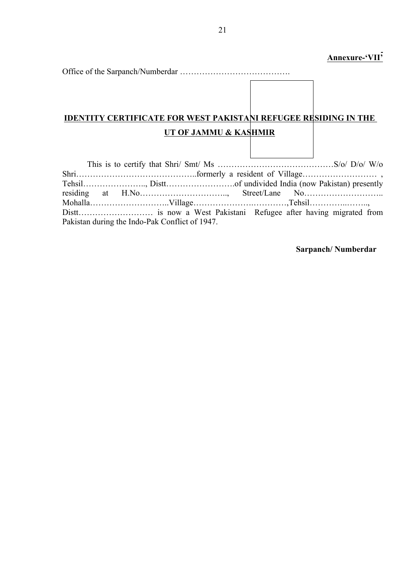Office of the Sarpanch/Numberdar ………………………………….

# **IDENTITY CERTIFICATE FOR WEST PAKISTANI REFUGEE RESIDING IN THE UT OF JAMMU & KASHMIR**

|  | Pakistan during the Indo-Pak Conflict of 1947. |  |  |  |  |
|--|------------------------------------------------|--|--|--|--|

**Sarpanch/ Numberdar**